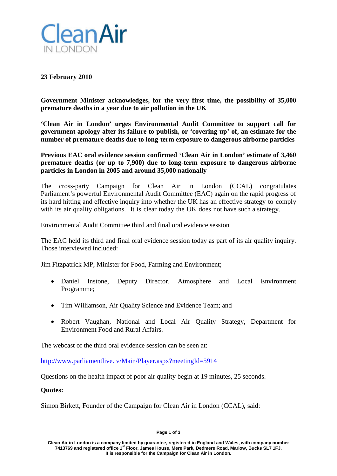

# **23 February 2010**

**Government Minister acknowledges, for the very first time, the possibility of 35,000 premature deaths in a year due to air pollution in the UK**

**'Clean Air in London' urges Environmental Audit Committee to support call for government apology after its failure to publish, or 'covering-up' of, an estimate for the number of premature deaths due to long-term exposure to dangerous airborne particles**

**Previous EAC oral evidence session confirmed 'Clean Air in London' estimate of 3,460 premature deaths (or up to 7,900) due to long-term exposure to dangerous airborne particles in London in 2005 and around 35,000 nationally**

The cross-party Campaign for Clean Air in London (CCAL) congratulates Parliament's powerful Environmental Audit Committee (EAC) again on the rapid progress of its hard hitting and effective inquiry into whether the UK has an effective strategy to comply with its air quality obligations. It is clear today the UK does not have such a strategy.

## Environmental Audit Committee third and final oral evidence session

The EAC held its third and final oral evidence session today as part of its air quality inquiry. Those interviewed included:

Jim Fitzpatrick MP, Minister for Food, Farming and Environment;

- Daniel Instone, Deputy Director, Atmosphere and Local Environment Programme;
- Tim Williamson, Air Quality Science and Evidence Team; and
- Robert Vaughan, National and Local Air Quality Strategy, Department for Environment Food and Rural Affairs.

The webcast of the third oral evidence session can be seen at:

<http://www.parliamentlive.tv/Main/Player.aspx?meetingId=5914>

Questions on the health impact of poor air quality begin at 19 minutes, 25 seconds.

**Quotes:**

Simon Birkett, Founder of the Campaign for Clean Air in London (CCAL), said:

#### **Page 1 of 3**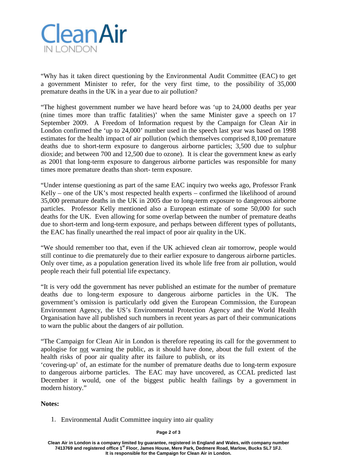

"Why has it taken direct questioning by the Environmental Audit Committee (EAC) to get a government Minister to refer, for the very first time, to the possibility of 35,000 premature deaths in the UK in a year due to air pollution?

"The highest government number we have heard before was 'up to 24,000 deaths per year (nine times more than traffic fatalities)' when the same Minister gave a speech on 17 September 2009. A Freedom of Information request by the Campaign for Clean Air in London confirmed the 'up to 24,000' number used in the speech last year was based on 1998 estimates for the health impact of air pollution (which themselves comprised 8,100 premature deaths due to short-term exposure to dangerous airborne particles; 3,500 due to sulphur dioxide; and between 700 and 12,500 due to ozone). It is clear the government knew as early as 2001 that long-term exposure to dangerous airborne particles was responsible for many times more premature deaths than short- term exposure.

"Under intense questioning as part of the same EAC inquiry two weeks ago, Professor Frank Kelly – one of the UK's most respected health experts – confirmed the likelihood of around 35,000 premature deaths in the UK in 2005 due to long-term exposure to dangerous airborne particles. Professor Kelly mentioned also a European estimate of some 50,000 for such deaths for the UK. Even allowing for some overlap between the number of premature deaths due to short-term and long-term exposure, and perhaps between different types of pollutants, the EAC has finally unearthed the real impact of poor air quality in the UK.

"We should remember too that, even if the UK achieved clean air tomorrow, people would still continue to die prematurely due to their earlier exposure to dangerous airborne particles. Only over time, as a population generation lived its whole life free from air pollution, would people reach their full potential life expectancy.

"It is very odd the government has never published an estimate for the number of premature deaths due to long-term exposure to dangerous airborne particles in the UK. The government's omission is particularly odd given the European Commission, the European Environment Agency, the US's Environmental Protection Agency and the World Health Organisation have all published such numbers in recent years as part of their communications to warn the public about the dangers of air pollution.

"The Campaign for Clean Air in London is therefore repeating its call for the government to apologise for not warning the public, as it should have done, about the full extent of the health risks of poor air quality after its failure to publish, or its

'covering-up' of, an estimate for the number of premature deaths due to long-term exposure to dangerous airborne particles. The EAC may have uncovered, as CCAL predicted last December it would, one of the biggest public health failings by a government in modern history."

## **Notes:**

1. Environmental Audit Committee inquiry into air quality

### **Page 2 of 3**

**Clean Air in London is a company limited by guarantee, registered in England and Wales, with company number 7413769 and registered office 1st Floor, James House, Mere Park, Dedmere Road, Marlow, Bucks SL7 1FJ. It is responsible for the Campaign for Clean Air in London.**